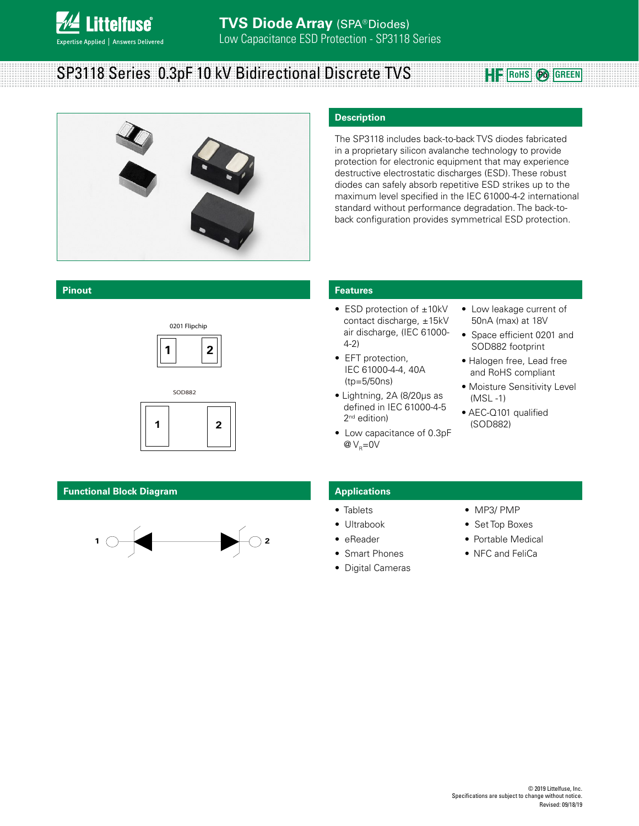

# **SP3118 Series 0.3pF 10 kV Bidirectional Discrete TVS <b>ROOFF** ROHS @ GREEN



#### **Pinout**





#### **Functional Block Diagram**



#### **Description**

The SP3118 includes back-to-back TVS diodes fabricated in a proprietary silicon avalanche technology to provide protection for electronic equipment that may experience destructive electrostatic discharges (ESD). These robust diodes can safely absorb repetitive ESD strikes up to the maximum level specified in the IEC 61000-4-2 international standard without performance degradation. The back-toback configuration provides symmetrical ESD protection.

#### **Features**

- ESD protection of ±10kV contact discharge, ±15kV air discharge, (IEC 61000- 4-2)
- EFT protection, IEC 61000-4-4, 40A (tp=5/50ns)
- Lightning, 2A (8/20μs as defined in IEC 61000-4-5 2<sup>nd</sup> edition)
- Low capacitance of 0.3pF  $@V_{p}=0V$
- Low leakage current of 50nA (max) at 18V
- Space efficient 0201 and SOD882 footprint
- Halogen free, Lead free and RoHS compliant
- Moisture Sensitivity Level (MSL -1)
- AEC-Q101 qualified (SOD882)

#### **Applications**

- Tablets
- Ultrabook
- eReader
- **Smart Phones**
- Digital Cameras
- MP3/ PMP
- Set Top Boxes
- Portable Medical
- NFC and FeliCa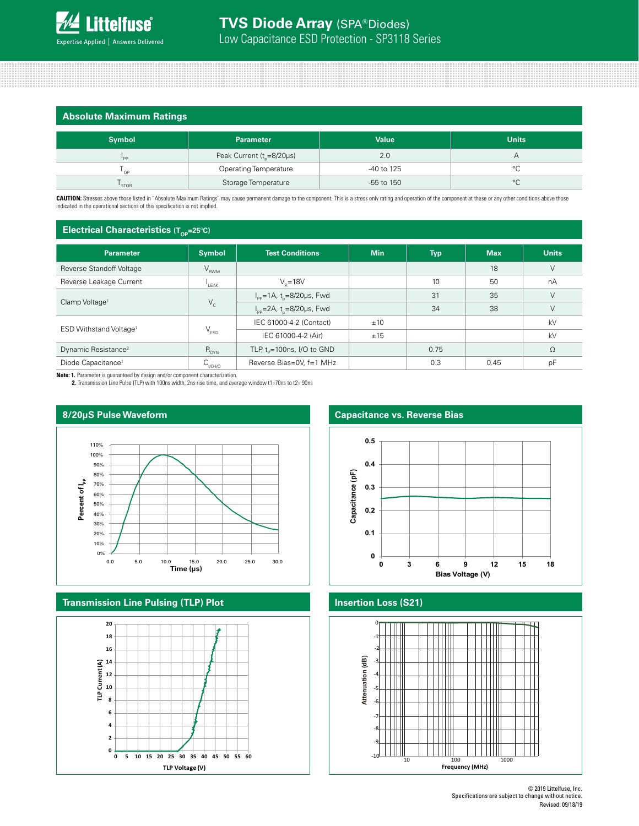|  | <b>Absolute Maximum Ratings</b> |
|--|---------------------------------|
|  |                                 |

| <b>Symbol</b> | <b>Parameter</b>                      | <b>Value</b>   | <b>Units</b> |  |  |
|---------------|---------------------------------------|----------------|--------------|--|--|
| 'PP           | Peak Current (t <sub>r</sub> =8/20µs) | 2.0            |              |  |  |
| סה י          | <b>Operating Temperature</b>          | -40 to 125     | $\sim$       |  |  |
| ' STOR        | Storage Temperature                   | $-55$ to $150$ | $\circ$      |  |  |

CAUTION: Stresses above those listed in "Absolute Maximum Ratings" may cause permanent damage to the component. This is a stress only rating and operation of the component at these or any other conditions above those indicated in the operational sections of this specification is not implied.

#### **Electrical Characteristics (Top-25°C)**

| <b>Parameter</b>                   | <b>Symbol</b>               | <b>Test Conditions</b>                                       | <b>Min</b> | <b>Typ</b> | <b>Max</b> | <b>Units</b> |
|------------------------------------|-----------------------------|--------------------------------------------------------------|------------|------------|------------|--------------|
| Reverse Standoff Voltage           | $\mathsf{V}_{\mathsf{RWM}}$ |                                                              |            |            | 18         | V            |
| Reverse Leakage Current            | LEAK                        | $V_e = 18V$                                                  |            | 10         | 50         | nA           |
|                                    | $V_c$                       | $I_{\text{pp}} = 1 \text{A}$ , t <sub>n</sub> = 8/20 µs, Fwd |            | 31         | 35         | V            |
| Clamp Voltage <sup>1</sup>         |                             | $I_{\rm pp}$ =2A, t <sub>o</sub> =8/20µs, Fwd                |            | 34         | 38         | V            |
| ESD Withstand Voltage <sup>1</sup> | $V_{ESD}$                   | IEC 61000-4-2 (Contact)                                      | ±10        |            |            | kV           |
|                                    |                             | IEC 61000-4-2 (Air)                                          | ±15        |            |            | kV           |
| Dynamic Resistance <sup>2</sup>    | $R_{_{\rm DYN}}$            | TLP, $t_{p}$ =100ns, I/O to GND                              |            | 0.75       |            | $\Omega$     |
| Diode Capacitance <sup>1</sup>     | $C_{VQ-VQ}$                 | Reverse Bias=0V, f=1 MHz                                     |            | 0.3        | 0.45       | pF           |

**Note: 1.** Parameter is guaranteed by design and/or component characterization. **2.** Transmission Line Pulse (TLP) with 100ns width, 2ns rise time, and average window t1=70ns to t2= 90ns



#### **Transmission Line Pulsing (TLP) Plot**





### **Insertion Loss (S21)**

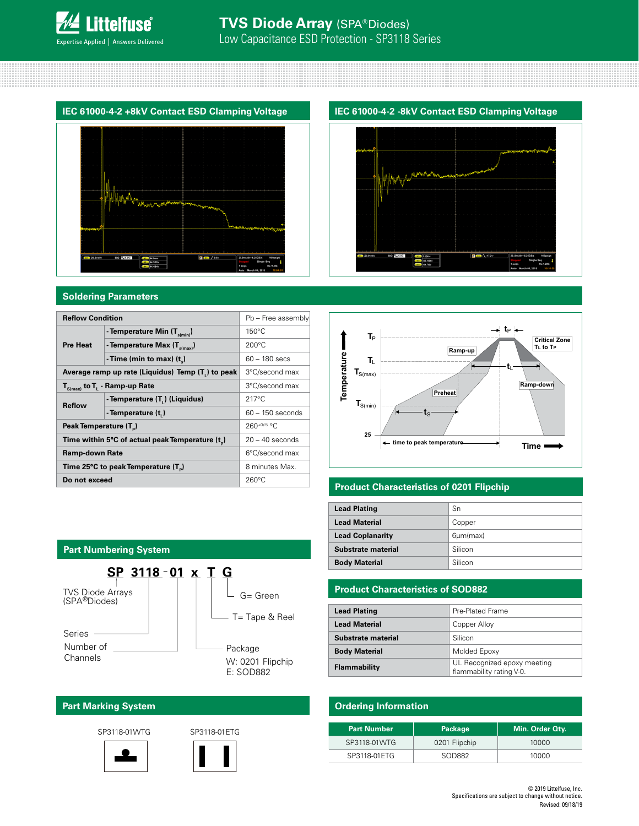



#### **Soldering Parameters**

| <b>Reflow Condition</b>                                      |                                                                | Pb - Free assembly |
|--------------------------------------------------------------|----------------------------------------------------------------|--------------------|
|                                                              | - Temperature Min $(T_{\text{s/min}})$                         | $150^{\circ}$ C    |
| <b>Pre Heat</b>                                              | - Temperature Max (T <sub>s(max)</sub> )                       | $200^{\circ}$ C    |
|                                                              | - Time (min to max) $(t_*)$                                    | $60 - 180$ secs    |
|                                                              | Average ramp up rate (Liquidus) Temp (T <sub>1</sub> ) to peak | 3°C/second max     |
| $T_{S(max)}$ to $T_{L}$ - Ramp-up Rate                       |                                                                | 3°C/second max     |
| <b>Reflow</b>                                                | - Temperature (T <sub>1</sub> ) (Liquidus)                     | $217^{\circ}$ C    |
|                                                              | - Temperature (t.)                                             | $60 - 150$ seconds |
| Peak Temperature (T <sub>n</sub> )                           |                                                                | $260^{+0/5}$ °C.   |
| Time within 5°C of actual peak Temperature (t <sub>p</sub> ) | $20 - 40$ seconds                                              |                    |
| Ramp-down Rate                                               |                                                                | 6°C/second max     |
| Time 25°C to peak Temperature (T <sub>a</sub> )              |                                                                | 8 minutes Max.     |
| Do not exceed                                                | $260^{\circ}$ C                                                |                    |





#### **Product Characteristics of 0201 Flipchip**

| <b>Lead Plating</b>     | Sn              |
|-------------------------|-----------------|
| <b>Lead Material</b>    | Copper          |
| <b>Lead Coplanarity</b> | $6 \mu m$ (max) |
| Substrate material      | Silicon         |
| <b>Body Material</b>    | Silicon         |

#### **Product Characteristics of SOD882**

| <b>Lead Plating</b>  | Pre-Plated Frame                                        |
|----------------------|---------------------------------------------------------|
| <b>Lead Material</b> | Copper Alloy                                            |
| Substrate material   | Silicon                                                 |
| <b>Body Material</b> | Molded Epoxy                                            |
| <b>Flammability</b>  | UL Recognized epoxy meeting<br>flammability rating V-0. |

### **Ordering Information**

| <b>Part Number</b> | Package       | Min. Order Qty. |
|--------------------|---------------|-----------------|
| SP3118-01WTG       | 0201 Flipchip | 10000           |
| SP3118-01ETG       | SOD882        | 10000           |

#### **Part Numbering System SP 3118 01 x T G –** Series -Number of **Channels** Package T= Tape & Reel G= Green TVS Diode Arrays (SPA<sup>®</sup>Diodes) W: 0201 Flipchip E: SOD882

## **Part Marking System**

SP3118-01WTG SP3118-01ETG



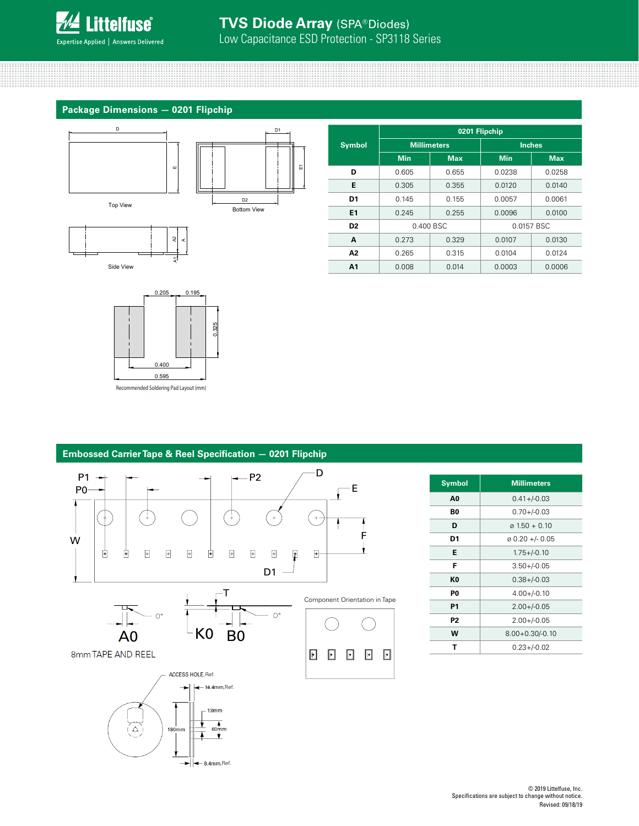

**Package Dimensions — 0201 Flipchip**



A

A1

Side View

**Symbol 0201 Flipchip Millimeters Inches Min Max Min Max D** 0.605 0.655 0.0238 0.0258 **E**  $\begin{array}{|c|c|c|c|c|c|} \hline \textbf{E} & 0.305 & 0.355 & 0.0120 & 0.0140 \hline \end{array}$ **D1** | 0.145 | 0.155 | 0.0057 | 0.0061 **E1** 0.245 0.255 0.0096 0.0100 **D2** 0.400 BSC 0.0157 BSC **A** 0.273 0.329 0.0107 0.0130 **A2** 0.265 0.315 0.0104 0.0124 **A1** 0.008 0.014 0.0003 0.0006



#### **Embossed Carrier Tape & Reel Specification — 0201 Flipchip** D P1 P2 E P0 €  $+$  $\pm$  $+$  $\mathsf{w}$  for the contract of the contract of the contract of the contract of the contract of the contract of the contract of the contract of the contract of the contract of the contract of the contract of the contract of ₿ ₿  $\circ$  $\circ$  $\circ$ ₿  $\circ$  $\boxed{\circ}$  $\circ$ ▣  $\boxed{\bullet}$ D1 T Component Orientation in Tape  $O^{\circ}$  $\Omega^s$  $\overline{A0}$   $-K0$  B<sub>0</sub> 8mm TAPE AND REEL  $\blacksquare$  $\Box$  $\mathbf E$  $\mathbf{E}$ ACCESS HOLE, Ref.  $-14.4$ mm.Ref.  $13mm$ ▾  $\overrightarrow{60mm}$ ĹΔ  $180<sub>mm</sub>$ A ⊻  $\left|\leftarrow\right|$  8.4mm, Ref.

| <b>Symbol</b>  | <b>Millimeters</b>          |  |
|----------------|-----------------------------|--|
| A <sub>0</sub> | $0.41 + (-0.03)$            |  |
| B0             | $0.70 + (-0.03)$            |  |
| D              | $\alpha$ 1.50 + 0.10        |  |
| D1             | $\varnothing$ 0.20 +/- 0.05 |  |
| Е              | $1.75 + (-0.10)$            |  |
| F              | $3.50 + (-0.05)$            |  |
| K0             | $0.38 + / -0.03$            |  |
| P0             | $4.00 + (-0.10)$            |  |
| P1             | $2.00 + (-0.05)$            |  |
| P <sub>2</sub> | $2.00 + / -0.05$            |  |
| w              | $8.00 + 0.30/-0.10$         |  |
| т              | $0.23 + (-0.02)$            |  |

#### © 2019 Littelfuse, Inc. Specifications are subject to change without notice. Revised: 09/18/19